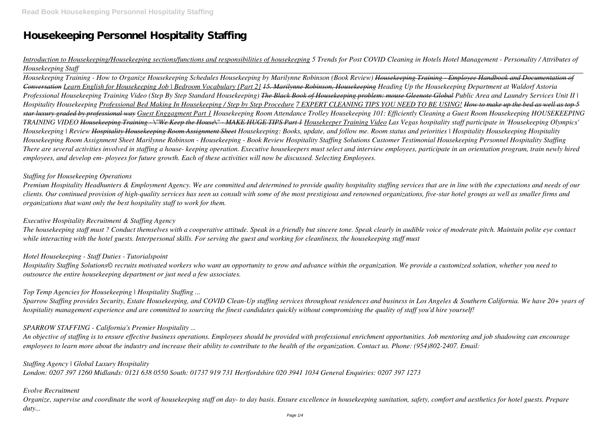# **Housekeeping Personnel Hospitality Staffing**

# *Introduction to Housekeeping/Housekeeping sections/functions and responsibilities of housekeeping 5 Trends for Post COVID Cleaning in Hotels Hotel Management - Personality / Attributes of Housekeeping Staff*

*Housekeeping Training - How to Organize Housekeeping Schedules Housekeeping by Marilynne Robinson (Book Review) Housekeeping Training - Employee Handbook and Documentation of Conversation Learn English for Housekeeping Job | Bedroom Vocabulary [Part 2] 15. Marilynne Robinson, Housekeeping Heading Up the Housekeeping Department at Waldorf Astoria Professional Housekeeping Training Video (Step By Step Standard Housekeeping) The Black Book of Housekeeping problem: mouse Gleenote Global Public Area and Laundry Services Unit II | Hospitality Housekeeping Professional Bed Making In Housekeeping / Step by Step Procedure 7 EXPERT CLEANING TIPS YOU NEED TO BE USING! How to make up the bed as well as top 5 star luxury graded by professional way Guest Enggagment Part 1 Housekeeping Room Attendance Trolley Housekeeping 101: Efficiently Cleaning a Guest Room Housekeeping HOUSEKEEPING TRAINING VIDEO Housekeeping Training - \"We Keep the House\" - MAKE HUGE TIPS Part 1 Housekeeper Training Video Las Vegas hospitality staff participate in 'Housekeeping Olympics' Housekeeping | Review Hospitality Housekeeping Room Assignment Sheet Housekeeping: Books, update, and follow me. Room status and priorities | Hospitality Housekeeping Hospitality Housekeeping Room Assignment Sheet Marilynne Robinson - Housekeeping - Book Review Hospitality Staffing Solutions Customer Testimonial Housekeeping Personnel Hospitality Staffing There are several activities involved in staffing a house- keeping operation. Executive housekeepers must select and interview employees, participate in an orientation program, train newly hired employees, and develop em- ployees for future growth. Each of these activities will now be discussed. Selecting Employees.*

#### *Staffing for Housekeeping Operations*

*Premium Hospitality Headhunters & Employment Agency. We are committed and determined to provide quality hospitality staffing services that are in line with the expectations and needs of our clients. Our continued provision of high-quality services has seen us consult with some of the most prestigious and renowned organizations, five-star hotel groups as well as smaller firms and organizations that want only the best hospitality staff to work for them.*

#### *Executive Hospitality Recruitment & Staffing Agency*

*The housekeeping staff must ? Conduct themselves with a cooperative attitude. Speak in a friendly but sincere tone. Speak clearly in audible voice of moderate pitch. Maintain polite eye contact while interacting with the hotel guests. Interpersonal skills. For serving the guest and working for cleanliness, the housekeeping staff must*

#### *Hotel Housekeeping - Staff Duties - Tutorialspoint*

*Hospitality Staffing Solutions© recruits motivated workers who want an opportunity to grow and advance within the organization. We provide a customized solution, whether you need to outsource the entire housekeeping department or just need a few associates.*

#### *Top Temp Agencies for Housekeeping | Hospitality Staffing ...*

*Sparrow Staffing provides Security, Estate Housekeeping, and COVID Clean-Up staffing services throughout residences and business in Los Angeles & Southern California. We have 20+ years of hospitality management experience and are committed to sourcing the finest candidates quickly without compromising the quality of staff you'd hire yourself!*

#### *SPARROW STAFFING - California's Premier Hospitality ...*

*An objective of staffing is to ensure effective business operations. Employees should be provided with professional enrichment opportunities. Job mentoring and job shadowing can encourage employees to learn more about the industry and increase their ability to contribute to the health of the organization. Contact us. Phone: (954)802-2407. Email:*

*Staffing Agency | Global Luxury Hospitality London: 0207 397 1260 Midlands: 0121 638 0550 South: 01737 919 731 Hertfordshire 020 3941 1034 General Enquiries: 0207 397 1273*

#### *Evolve Recruitment*

*Organize, supervise and coordinate the work of housekeeping staff on day- to day basis. Ensure excellence in housekeeping sanitation, safety, comfort and aesthetics for hotel guests. Prepare duty...*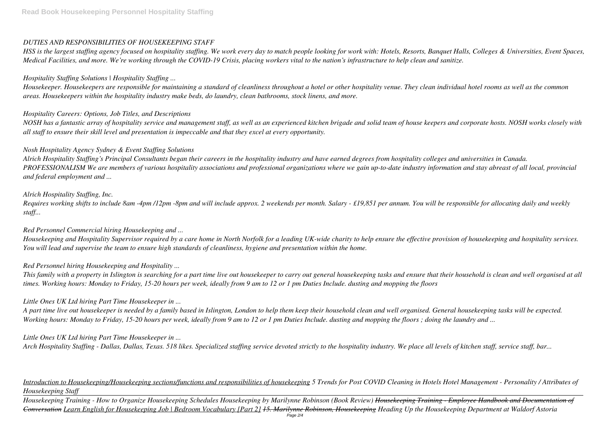# *DUTIES AND RESPONSIBILITIES OF HOUSEKEEPING STAFF*

*HSS is the largest staffing agency focused on hospitality staffing. We work every day to match people looking for work with: Hotels, Resorts, Banquet Halls, Colleges & Universities, Event Spaces, Medical Facilities, and more. We're working through the COVID-19 Crisis, placing workers vital to the nation's infrastructure to help clean and sanitize.*

# *Hospitality Staffing Solutions | Hospitality Staffing ...*

*Housekeeper. Housekeepers are responsible for maintaining a standard of cleanliness throughout a hotel or other hospitality venue. They clean individual hotel rooms as well as the common areas. Housekeepers within the hospitality industry make beds, do laundry, clean bathrooms, stock linens, and more.*

# *Hospitality Careers: Options, Job Titles, and Descriptions*

*NOSH has a fantastic array of hospitality service and management staff, as well as an experienced kitchen brigade and solid team of house keepers and corporate hosts. NOSH works closely with all staff to ensure their skill level and presentation is impeccable and that they excel at every opportunity.*

# *Nosh Hospitality Agency Sydney & Event Staffing Solutions*

This family with a property in Islington is searching for a part time live out housekeeper to carry out general housekeeping tasks and ensure that their household is clean and well organised at all *times. Working hours: Monday to Friday, 15-20 hours per week, ideally from 9 am to 12 or 1 pm Duties Include. dusting and mopping the floors*

*Alrich Hospitality Staffing's Principal Consultants began their careers in the hospitality industry and have earned degrees from hospitality colleges and universities in Canada. PROFESSIONALISM We are members of various hospitality associations and professional organizations where we gain up-to-date industry information and stay abreast of all local, provincial and federal employment and ...*

# *Alrich Hospitality Staffing, Inc.*

*Requires working shifts to include 8am -4pm /12pm -8pm and will include approx. 2 weekends per month. Salary - £19,851 per annum. You will be responsible for allocating daily and weekly staff...*

# *Red Personnel Commercial hiring Housekeeping and ...*

*Housekeeping and Hospitality Supervisor required by a care home in North Norfolk for a leading UK-wide charity to help ensure the effective provision of housekeeping and hospitality services. You will lead and supervise the team to ensure high standards of cleanliness, hygiene and presentation within the home.*

# *Red Personnel hiring Housekeeping and Hospitality ...*

## *Little Ones UK Ltd hiring Part Time Housekeeper in ...*

*A part time live out housekeeper is needed by a family based in Islington, London to help them keep their household clean and well organised. General housekeeping tasks will be expected. Working hours: Monday to Friday, 15-20 hours per week, ideally from 9 am to 12 or 1 pm Duties Include. dusting and mopping the floors ; doing the laundry and ...*

## *Little Ones UK Ltd hiring Part Time Housekeeper in ...*

*Arch Hospitality Staffing - Dallas, Dallas, Texas. 518 likes. Specialized staffing service devoted strictly to the hospitality industry. We place all levels of kitchen staff, service staff, bar...*

# *Introduction to Housekeeping/Housekeeping sections/functions and responsibilities of housekeeping 5 Trends for Post COVID Cleaning in Hotels Hotel Management - Personality / Attributes of Housekeeping Staff*

*Housekeeping Training - How to Organize Housekeeping Schedules Housekeeping by Marilynne Robinson (Book Review) Housekeeping Training - Employee Handbook and Documentation of Conversation Learn English for Housekeeping Job | Bedroom Vocabulary [Part 2] 15. Marilynne Robinson, Housekeeping Heading Up the Housekeeping Department at Waldorf Astoria* Page 2/4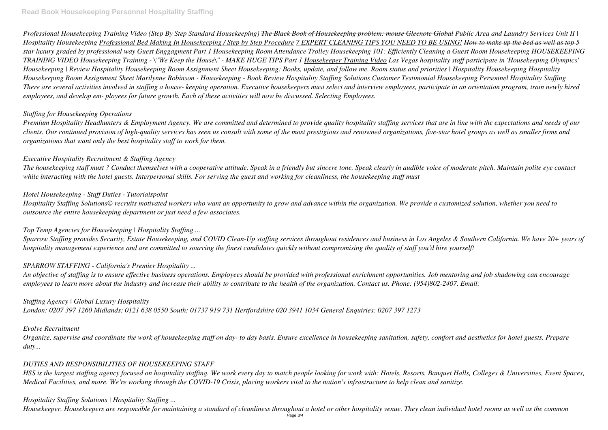*Professional Housekeeping Training Video (Step By Step Standard Housekeeping) The Black Book of Housekeeping problem: mouse Gleenote Global Public Area and Laundry Services Unit II | Hospitality Housekeeping Professional Bed Making In Housekeeping / Step by Step Procedure 7 EXPERT CLEANING TIPS YOU NEED TO BE USING! How to make up the bed as well as top 5 star luxury graded by professional way Guest Enggagment Part 1 Housekeeping Room Attendance Trolley Housekeeping 101: Efficiently Cleaning a Guest Room Housekeeping HOUSEKEEPING TRAINING VIDEO Housekeeping Training - \"We Keep the House\" - MAKE HUGE TIPS Part 1 Housekeeper Training Video Las Vegas hospitality staff participate in 'Housekeeping Olympics' Housekeeping | Review Hospitality Housekeeping Room Assignment Sheet Housekeeping: Books, update, and follow me. Room status and priorities | Hospitality Housekeeping Hospitality Housekeeping Room Assignment Sheet Marilynne Robinson - Housekeeping - Book Review Hospitality Staffing Solutions Customer Testimonial Housekeeping Personnel Hospitality Staffing There are several activities involved in staffing a house- keeping operation. Executive housekeepers must select and interview employees, participate in an orientation program, train newly hired employees, and develop em- ployees for future growth. Each of these activities will now be discussed. Selecting Employees.*

# *Staffing for Housekeeping Operations*

*Premium Hospitality Headhunters & Employment Agency. We are committed and determined to provide quality hospitality staffing services that are in line with the expectations and needs of our clients. Our continued provision of high-quality services has seen us consult with some of the most prestigious and renowned organizations, five-star hotel groups as well as smaller firms and organizations that want only the best hospitality staff to work for them.*

# *Executive Hospitality Recruitment & Staffing Agency*

*The housekeeping staff must ? Conduct themselves with a cooperative attitude. Speak in a friendly but sincere tone. Speak clearly in audible voice of moderate pitch. Maintain polite eye contact while interacting with the hotel guests. Interpersonal skills. For serving the guest and working for cleanliness, the housekeeping staff must*

# *Hotel Housekeeping - Staff Duties - Tutorialspoint*

*Hospitality Staffing Solutions© recruits motivated workers who want an opportunity to grow and advance within the organization. We provide a customized solution, whether you need to outsource the entire housekeeping department or just need a few associates.*

# *Top Temp Agencies for Housekeeping | Hospitality Staffing ...*

*Sparrow Staffing provides Security, Estate Housekeeping, and COVID Clean-Up staffing services throughout residences and business in Los Angeles & Southern California. We have 20+ years of hospitality management experience and are committed to sourcing the finest candidates quickly without compromising the quality of staff you'd hire yourself!*

# *SPARROW STAFFING - California's Premier Hospitality ...*

*An objective of staffing is to ensure effective business operations. Employees should be provided with professional enrichment opportunities. Job mentoring and job shadowing can encourage employees to learn more about the industry and increase their ability to contribute to the health of the organization. Contact us. Phone: (954)802-2407. Email:*

# *Staffing Agency | Global Luxury Hospitality*

*London: 0207 397 1260 Midlands: 0121 638 0550 South: 01737 919 731 Hertfordshire 020 3941 1034 General Enquiries: 0207 397 1273*

## *Evolve Recruitment*

*Organize, supervise and coordinate the work of housekeeping staff on day- to day basis. Ensure excellence in housekeeping sanitation, safety, comfort and aesthetics for hotel guests. Prepare duty...*

## *DUTIES AND RESPONSIBILITIES OF HOUSEKEEPING STAFF*

*HSS is the largest staffing agency focused on hospitality staffing. We work every day to match people looking for work with: Hotels, Resorts, Banquet Halls, Colleges & Universities, Event Spaces, Medical Facilities, and more. We're working through the COVID-19 Crisis, placing workers vital to the nation's infrastructure to help clean and sanitize.*

## *Hospitality Staffing Solutions | Hospitality Staffing ...*

*Housekeeper. Housekeepers are responsible for maintaining a standard of cleanliness throughout a hotel or other hospitality venue. They clean individual hotel rooms as well as the common*